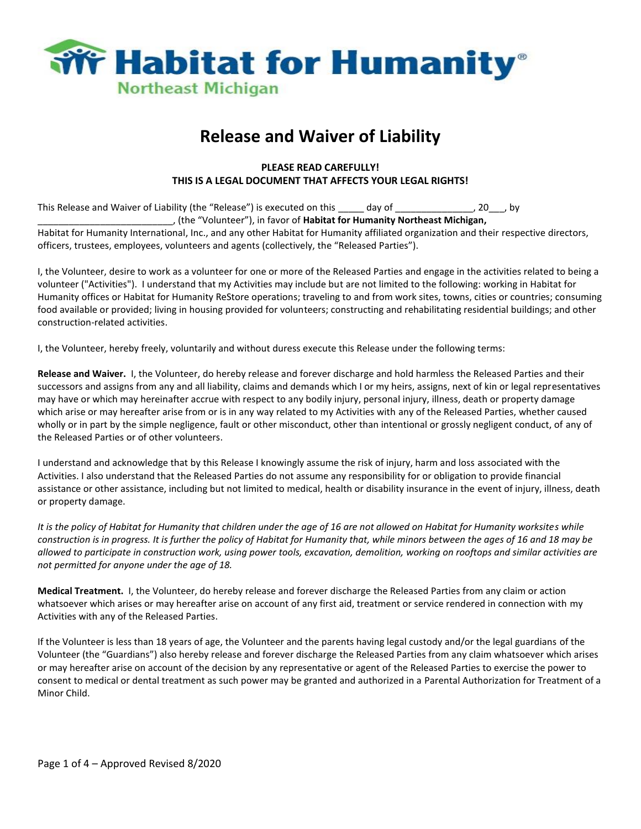

## **Release and Waiver of Liability**

## **PLEASE READ CAREFULLY! THIS IS A LEGAL DOCUMENT THAT AFFECTS YOUR LEGAL RIGHTS!**

This Release and Waiver of Liability (the "Release") is executed on this \_\_\_\_\_ day of \_\_\_\_\_\_\_\_\_\_\_\_\_, 20\_\_\_, by \_\_\_\_\_\_\_\_\_\_\_\_\_\_\_\_\_\_\_\_\_\_\_\_\_\_, (the "Volunteer"), in favor of **Habitat for Humanity Northeast Michigan,** Habitat for Humanity International, Inc., and any other Habitat for Humanity affiliated organization and their respective directors, officers, trustees, employees, volunteers and agents (collectively, the "Released Parties").

I, the Volunteer, desire to work as a volunteer for one or more of the Released Parties and engage in the activities related to being a volunteer ("Activities"). I understand that my Activities may include but are not limited to the following: working in Habitat for Humanity offices or Habitat for Humanity ReStore operations; traveling to and from work sites, towns, cities or countries; consuming food available or provided; living in housing provided for volunteers; constructing and rehabilitating residential buildings; and other construction-related activities.

I, the Volunteer, hereby freely, voluntarily and without duress execute this Release under the following terms:

**Release and Waiver.** I, the Volunteer, do hereby release and forever discharge and hold harmless the Released Parties and their successors and assigns from any and all liability, claims and demands which I or my heirs, assigns, next of kin or legal representatives may have or which may hereinafter accrue with respect to any bodily injury, personal injury, illness, death or property damage which arise or may hereafter arise from or is in any way related to my Activities with any of the Released Parties, whether caused wholly or in part by the simple negligence, fault or other misconduct, other than intentional or grossly negligent conduct, of any of the Released Parties or of other volunteers.

I understand and acknowledge that by this Release I knowingly assume the risk of injury, harm and loss associated with the Activities. I also understand that the Released Parties do not assume any responsibility for or obligation to provide financial assistance or other assistance, including but not limited to medical, health or disability insurance in the event of injury, illness, death or property damage.

*It is the policy of Habitat for Humanity that children under the age of 16 are not allowed on Habitat for Humanity worksites while construction is in progress. It is further the policy of Habitat for Humanity that, while minors between the ages of 16 and 18 may be allowed to participate in construction work, using power tools, excavation, demolition, working on rooftops and similar activities are not permitted for anyone under the age of 18.*

**Medical Treatment.** I, the Volunteer, do hereby release and forever discharge the Released Parties from any claim or action whatsoever which arises or may hereafter arise on account of any first aid, treatment or service rendered in connection with my Activities with any of the Released Parties.

If the Volunteer is less than 18 years of age, the Volunteer and the parents having legal custody and/or the legal guardians of the Volunteer (the "Guardians") also hereby release and forever discharge the Released Parties from any claim whatsoever which arises or may hereafter arise on account of the decision by any representative or agent of the Released Parties to exercise the power to consent to medical or dental treatment as such power may be granted and authorized in a Parental Authorization for Treatment of a Minor Child.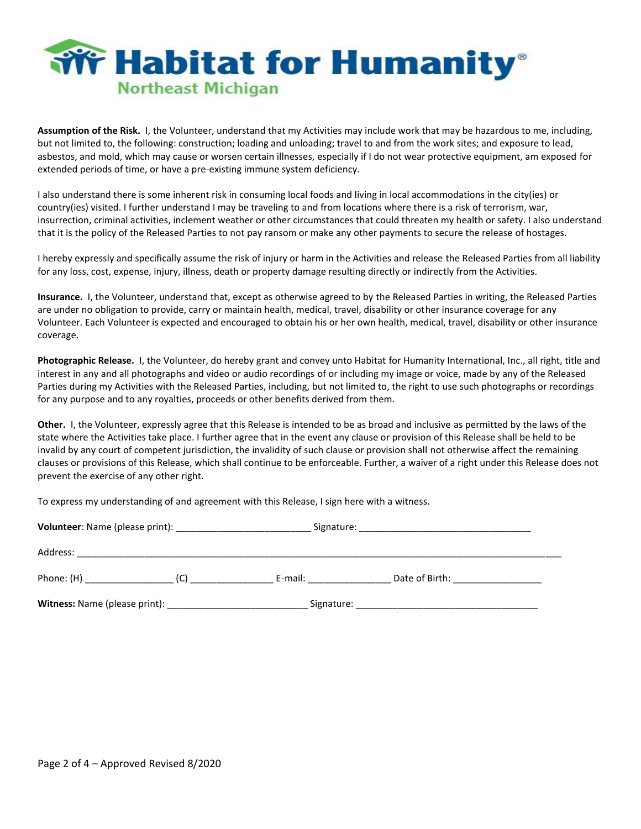

**Assumption of the Risk.** I, the Volunteer, understand that my Activities may include work that may be hazardous to me, including, but not limited to, the following: construction; loading and unloading; travel to and from the work sites; and exposure to lead, asbestos, and mold, which may cause or worsen certain illnesses, especially if I do not wear protective equipment, am exposed for extended periods of time, or have a pre-existing immune system deficiency.

I also understand there is some inherent risk in consuming local foods and living in local accommodations in the city(ies) or country(ies) visited. I further understand I may be traveling to and from locations where there is a risk of terrorism, war, insurrection, criminal activities, inclement weather or other circumstances that could threaten my health or safety. I also understand that it is the policy of the Released Parties to not pay ransom or make any other payments to secure the release of hostages.

I hereby expressly and specifically assume the risk of injury or harm in the Activities and release the Released Parties from all liability for any loss, cost, expense, injury, illness, death or property damage resulting directly or indirectly from the Activities.

**Insurance.** I, the Volunteer, understand that, except as otherwise agreed to by the Released Parties in writing, the Released Parties are under no obligation to provide, carry or maintain health, medical, travel, disability or other insurance coverage for any Volunteer. Each Volunteer is expected and encouraged to obtain his or her own health, medical, travel, disability or other insurance coverage.

**Photographic Release.** I, the Volunteer, do hereby grant and convey unto Habitat for Humanity International, Inc., all right, title and interest in any and all photographs and video or audio recordings of or including my image or voice, made by any of the Released Parties during my Activities with the Released Parties, including, but not limited to, the right to use such photographs or recordings for any purpose and to any royalties, proceeds or other benefits derived from them.

**Other.** I, the Volunteer, expressly agree that this Release is intended to be as broad and inclusive as permitted by the laws of the state where the Activities take place. I further agree that in the event any clause or provision of this Release shall be held to be invalid by any court of competent jurisdiction, the invalidity of such clause or provision shall not otherwise affect the remaining clauses or provisions of this Release, which shall continue to be enforceable. Further, a waiver of a right under this Release does not prevent the exercise of any other right.

To express my understanding of and agreement with this Release, I sign here with a witness.

| Volunteer: Name (please print): | Signature: |                |
|---------------------------------|------------|----------------|
| Address:                        |            |                |
| Phone: (H)<br>(C)               | E-mail:    | Date of Birth: |
| Witness: Name (please print):   | Signature: |                |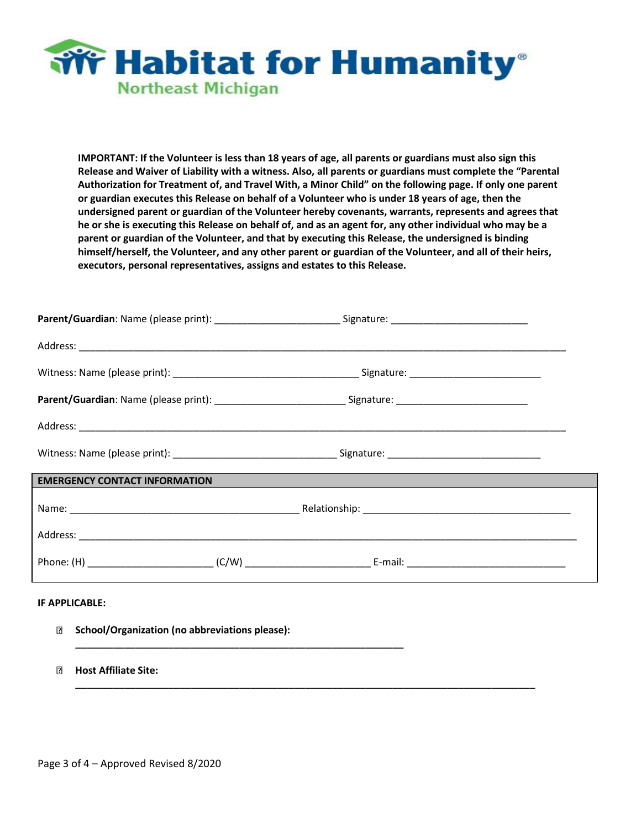

**IMPORTANT: If the Volunteer is less than 18 years of age, all parents or guardians must also sign this Release and Waiver of Liability with a witness. Also, all parents or guardians must complete the "Parental Authorization for Treatment of, and Travel With, a Minor Child" on the following page. If only one parent or guardian executes this Release on behalf of a Volunteer who is under 18 years of age, then the undersigned parent or guardian of the Volunteer hereby covenants, warrants, represents and agrees that he or she is executing this Release on behalf of, and as an agent for, any other individual who may be a parent or guardian of the Volunteer, and that by executing this Release, the undersigned is binding himself/herself, the Volunteer, and any other parent or guardian of the Volunteer, and all of their heirs, executors, personal representatives, assigns and estates to this Release.**

|                                      | Parent/Guardian: Name (please print): _______________________________Signature: ______________________________ |  |
|--------------------------------------|----------------------------------------------------------------------------------------------------------------|--|
|                                      |                                                                                                                |  |
|                                      |                                                                                                                |  |
|                                      | Parent/Guardian: Name (please print): ______________________________Signature: _______________________________ |  |
|                                      |                                                                                                                |  |
|                                      |                                                                                                                |  |
| <b>EMERGENCY CONTACT INFORMATION</b> |                                                                                                                |  |
|                                      |                                                                                                                |  |
|                                      |                                                                                                                |  |
|                                      |                                                                                                                |  |
| IF APPLICABLE:                       |                                                                                                                |  |

**\_\_\_\_\_\_\_\_\_\_\_\_\_\_\_\_\_\_\_\_\_\_\_\_\_\_\_\_\_\_\_\_\_\_\_\_\_\_\_\_\_\_\_\_\_\_\_\_\_\_\_\_\_\_\_\_\_\_\_\_\_\_\_\_\_\_\_\_\_\_\_\_\_\_\_\_\_\_\_\_\_\_\_\_**

 $\boxed{2}$ **School/Organization (no abbreviations please):** 

**\_\_\_\_\_\_\_\_\_\_\_\_\_\_\_\_\_\_\_\_\_\_\_\_\_\_\_\_\_\_\_\_\_\_\_\_\_\_\_\_\_\_\_\_\_\_\_\_\_\_\_\_\_\_\_\_\_\_\_\_**

 $\Box$ **Host Affiliate Site:**